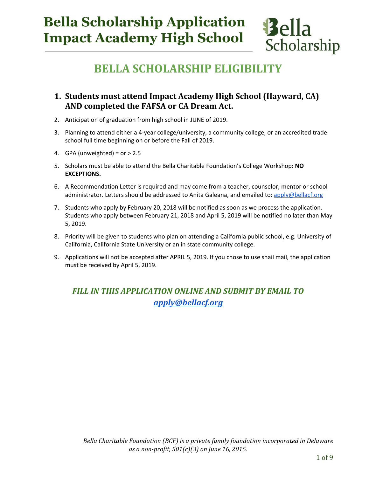# **Bella Scholarship Application Impact Academy High School**



**Bella** 

Scholarship

#### **1. Students must attend Impact Academy High School (Hayward, CA) AND completed the FAFSA or CA Dream Act.**

- 2. Anticipation of graduation from high school in JUNE of 2019.
- 3. Planning to attend either a 4-year college/university, a community college, or an accredited trade school full time beginning on or before the Fall of 2019.
- 4. GPA (unweighted) =  $or > 2.5$
- 5. Scholars must be able to attend the Bella Charitable Foundation's College Workshop: **NO EXCEPTIONS.**
- 6. A Recommendation Letter is required and may come from a teacher, counselor, mentor or school administrator. Letters should be addressed to Anita Galeana, and emailed to: [apply@bellacf.org](http://apply@bellacf.org/)
- 7. Students who apply by February 20, 2018 will be notified as soon as we process the application. Students who apply between February 21, 2018 and April 5, 2019 will be notified no later than May 5, 2019.
- 8. Priority will be given to students who plan on attending a California public school, e.g. University of California, California State University or an in state community college.
- 9. Applications will not be accepted after APRIL 5, 2019. If you chose to use snail mail, the application must be received by April 5, 2019.

#### *FILL IN THIS APPLICATION ONLINE AND SUBMIT BY EMAIL TO [apply@bellacf.org](mailto:apply@bellacf.org)*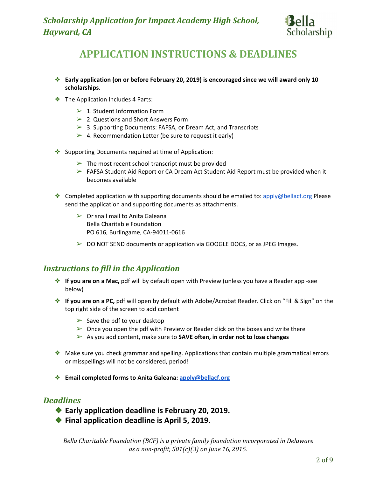

# **APPLICATION INSTRUCTIONS & DEADLINES**

- ❖ **Early application (on or before February 20, 2019) is encouraged since we will award only 10 scholarships.**
- ❖ The Application Includes 4 Parts:
	- $\geq 1$ . Student Information Form
	- ➢ 2. Questions and Short Answers Form
	- ➢ 3. Supporting Documents: FAFSA, or Dream Act, and Transcripts
	- $\geq 4$ . Recommendation Letter (be sure to request it early)
- ❖ Supporting Documents required at time of Application:
	- $\triangleright$  The most recent school transcript must be provided
	- $\triangleright$  FAFSA Student Aid Report or CA Dream Act Student Aid Report must be provided when it becomes available
- ◆ Completed application with supporting documents should be emailed to: [apply@bellacf.org](mailto:apply@bellacf.org) Please send the application and supporting documents as attachments.
	- $\triangleright$  Or snail mail to Anita Galeana Bella Charitable Foundation PO 616, Burlingame, CA-94011-0616
	- $\triangleright$  DO NOT SEND documents or application via GOOGLE DOCS, or as JPEG Images.

#### *Instructions to fill in the Application*

- ❖ **If you are on a Mac,** pdf will by default open with Preview (unless you have a Reader app -see below)
- ❖ **If you are on a PC,** pdf will open by default with Adobe/Acrobat Reader. Click on "Fill & Sign" on the top right side of the screen to add content
	- $\triangleright$  Save the pdf to your desktop
	- $\triangleright$  Once you open the pdf with Preview or Reader click on the boxes and write there
	- ➢ As you add content, make sure to **SAVE often, in order not to lose changes**
- ❖ Make sure you check grammar and spelling. Applications that contain multiple grammatical errors or misspellings will not be considered, period!
- ❖ **Email completed forms to Anita Galeana: [apply@bellacf.org](mailto:apply@bellacf.org)**

#### *Deadlines*

- ❖ **Early application deadline is February 20, 2019.**
- ❖ **Final application deadline is April 5, 2019.**

*Bella Charitable Foundation (BCF) is a private family foundation incorporated in Delaware as a non-profit, 501(c)(3) on June 16, 2015.*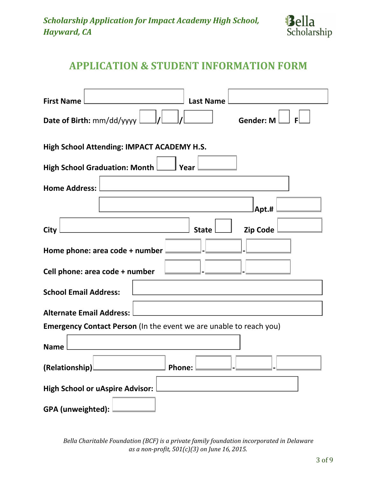

# **APPLICATION & STUDENT INFORMATION FORM**

| <b>First Name</b><br><b>Last Name</b>                                     |
|---------------------------------------------------------------------------|
| Date of Birth: mm/dd/yyyy L<br>Gender: $M \Box$                           |
| High School Attending: IMPACT ACADEMY H.S.                                |
| High School Graduation: Month Latin Year                                  |
| <b>Home Address:</b>                                                      |
| Apt.#                                                                     |
| Zip Code<br><b>State</b><br>City                                          |
| Home phone: area code + number                                            |
| Cell phone: area code + number                                            |
| <b>School Email Address:</b>                                              |
| <b>Alternate Email Address:</b>                                           |
| <b>Emergency Contact Person</b> (In the event we are unable to reach you) |
| <b>Name</b>                                                               |
| (Relationship)<br><b>Phone:</b>                                           |
| <b>High School or uAspire Advisor:</b>                                    |
| GPA (unweighted):                                                         |

*Bella Charitable Foundation (BCF) is a private family foundation incorporated in Delaware as a non-profit, 501(c)(3) on June 16, 2015.*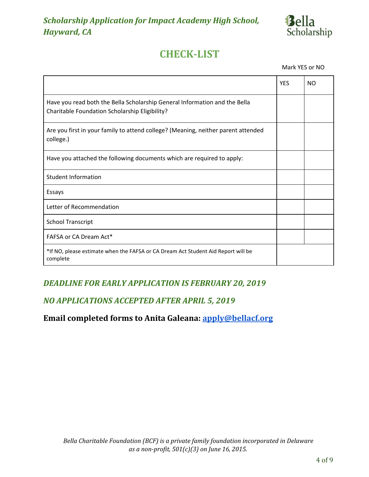

# **CHECK-LIST**

Mark YES or NO

|                                                                                                                              | <b>YES</b> | <b>NO</b> |
|------------------------------------------------------------------------------------------------------------------------------|------------|-----------|
| Have you read both the Bella Scholarship General Information and the Bella<br>Charitable Foundation Scholarship Eligibility? |            |           |
| Are you first in your family to attend college? (Meaning, neither parent attended<br>college.)                               |            |           |
| Have you attached the following documents which are required to apply:                                                       |            |           |
| <b>Student Information</b>                                                                                                   |            |           |
| Essays                                                                                                                       |            |           |
| Letter of Recommendation                                                                                                     |            |           |
| <b>School Transcript</b>                                                                                                     |            |           |
| FAFSA or CA Dream Act*                                                                                                       |            |           |
| *If NO, please estimate when the FAFSA or CA Dream Act Student Aid Report will be<br>complete                                |            |           |

#### *DEADLINE FOR EARLY APPLICATION IS FEBRUARY 20, 2019*

#### *NO APPLICATIONS ACCEPTED AFTER APRIL 5, 2019*

### **Email completed forms to Anita Galeana: [apply@bellacf.org](mailto:apply@bellacf.org)**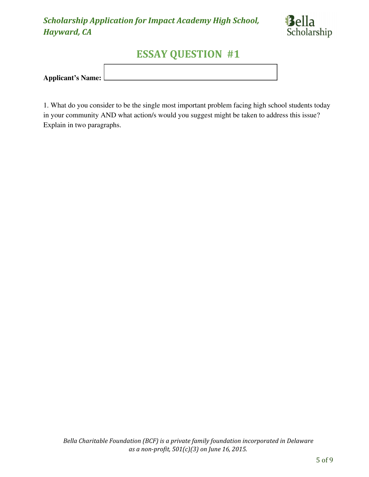

# **ESSAY QUESTION #1**

| Applicant's Name: L |  |
|---------------------|--|
|                     |  |

1. What do you consider to be the single most important problem facing high school students today in your community AND what action/s would you suggest might be taken to address this issue? Explain in two paragraphs.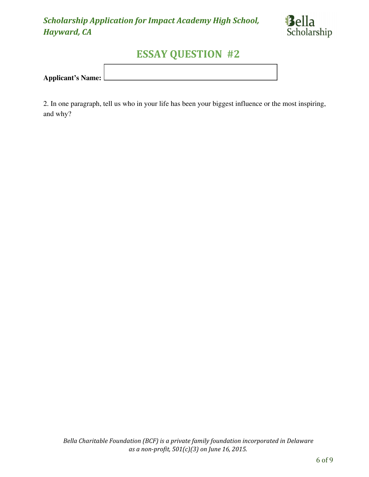

# **ESSAY QUESTION #2**

| <b>Applicant's Name:</b> |  |
|--------------------------|--|
|                          |  |

2. In one paragraph, tell us who in your life has been your biggest influence or the most inspiring, and why?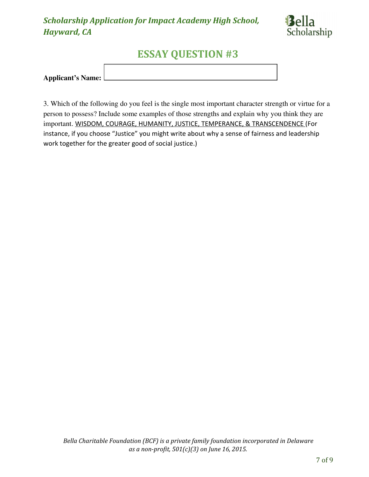

# **ESSAY QUESTION #3**

| <b>Applicant's Name:</b> l |  |
|----------------------------|--|
|                            |  |

3. Which of the following do you feel is the single most important character strength or virtue for a person to possess? Include some examples of those strengths and explain why you think they are important. WISDOM, COURAGE, HUMANITY, JUSTICE, TEMPERANCE, & TRANSCENDENCE (For instance, if you choose "Justice" you might write about why a sense of fairness and leadership work together for the greater good of social justice.)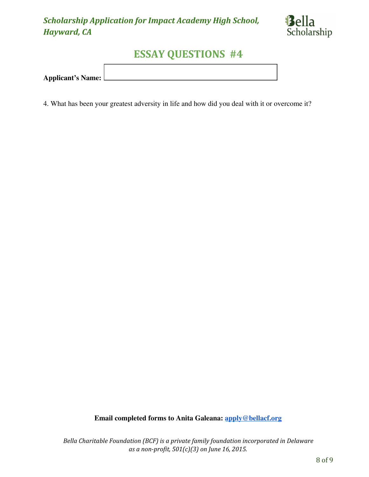

# **ESSAY QUESTIONS #4**

| <b>Applicant's Name:</b> |  |
|--------------------------|--|

4. What has been your greatest adversity in life and how did you deal with it or overcome it?

**Email completed forms to Anita Galeana: [apply@bellacf.org](mailto:apply@bellacf.org)**

*Bella Charitable Foundation (BCF) is a private family foundation incorporated in Delaware as a non-profit, 501(c)(3) on June 16, 2015.*